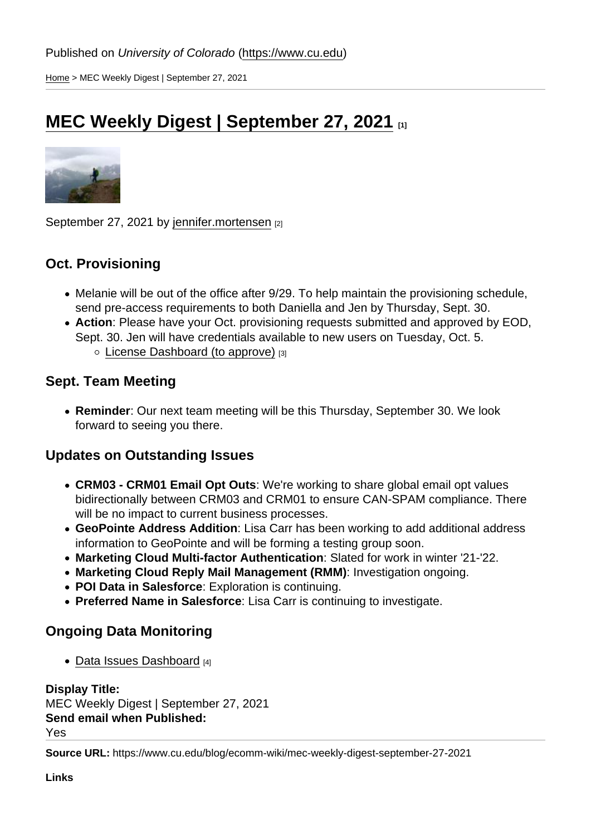[Home](https://www.cu.edu/) > MEC Weekly Digest | September 27, 2021

# [MEC Weekly Digest | September 27, 2021](https://www.cu.edu/blog/ecomm-wiki/mec-weekly-digest-september-27-2021) [1]

September 27, 2021 by [jennifer.mortensen](https://www.cu.edu/blog/ecomm-wiki/author/13789) [2]

# Oct. Provisioning

- Melanie will be out of the office after 9/29. To help maintain the provisioning schedule, send pre-access requirements to both Daniella and Jen by Thursday, Sept. 30.
- Action : Please have your Oct. provisioning requests submitted and approved by EOD, Sept. 30. Jen will have credentials available to new users on Tuesday, Oct. 5. [License Dashboard \(to approve\)](http://cuecomm.lightning.force.com/lightning/r/Dashboard/01Zf4000000GRlNEAW/view) [3]

### Sept. Team Meeting

Reminder : Our next team meeting will be this Thursday, September 30. We look forward to seeing you there.

#### Updates on Outstanding Issues

- CRM03 CRM01 Email Opt Outs : We're working to share global email opt values bidirectionally between CRM03 and CRM01 to ensure CAN-SPAM compliance. There will be no impact to current business processes.
- GeoPointe Address Addition : Lisa Carr has been working to add additional address information to GeoPointe and will be forming a testing group soon.
- Marketing Cloud Multi-factor Authentication : Slated for work in winter '21-'22.
- Marketing Cloud Reply Mail Management (RMM) : Investigation ongoing.
- POI Data in Salesforce: Exploration is continuing.
- Preferred Name in Salesforce : Lisa Carr is continuing to investigate.

# Ongoing Data Monitoring

 $\bullet$  [Data Issues Dashboard](http://cuecomm.lightning.force.com/lightning/r/Dashboard/01Zf4000000fOP8EAM/view?queryScope=userFolders) [4]

Display Title: MEC Weekly Digest | September 27, 2021 Send email when Published: Yes

Source URL: https://www.cu.edu/blog/ecomm-wiki/mec-weekly-digest-september-27-2021